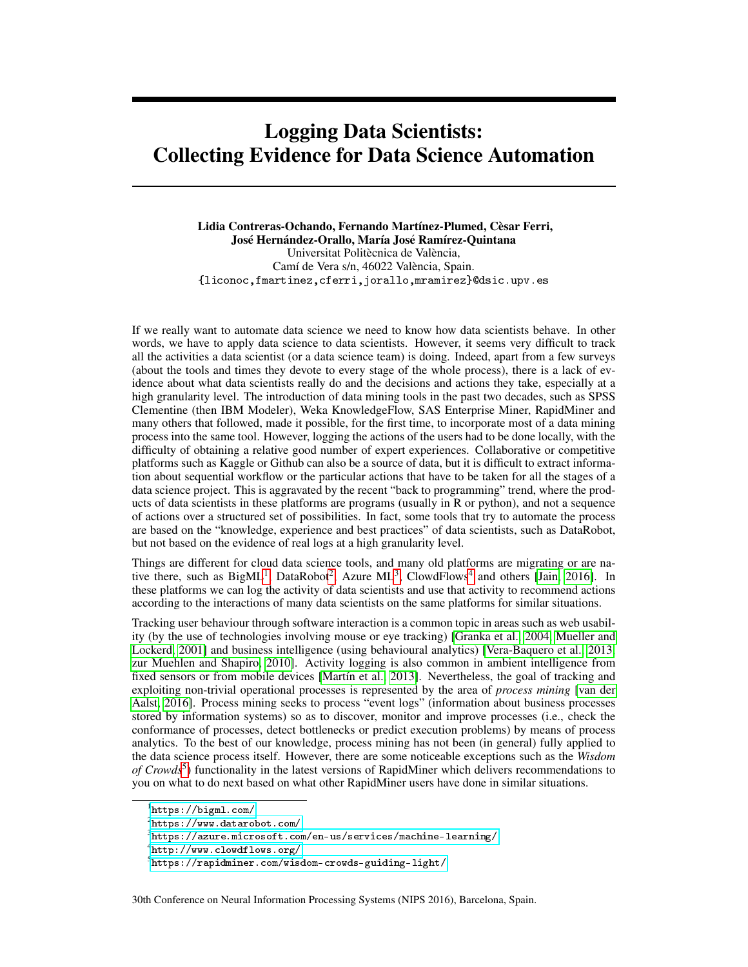## Logging Data Scientists: Collecting Evidence for Data Science Automation

Lidia Contreras-Ochando, Fernando Martínez-Plumed, Cèsar Ferri, José Hernández-Orallo, María José Ramírez-Quintana Universitat Politècnica de València, Camí de Vera s/n, 46022 València, Spain. {liconoc,fmartinez,cferri,jorallo,mramirez}@dsic.upv.es

If we really want to automate data science we need to know how data scientists behave. In other words, we have to apply data science to data scientists. However, it seems very difficult to track all the activities a data scientist (or a data science team) is doing. Indeed, apart from a few surveys (about the tools and times they devote to every stage of the whole process), there is a lack of evidence about what data scientists really do and the decisions and actions they take, especially at a high granularity level. The introduction of data mining tools in the past two decades, such as SPSS Clementine (then IBM Modeler), Weka KnowledgeFlow, SAS Enterprise Miner, RapidMiner and many others that followed, made it possible, for the first time, to incorporate most of a data mining process into the same tool. However, logging the actions of the users had to be done locally, with the difficulty of obtaining a relative good number of expert experiences. Collaborative or competitive platforms such as Kaggle or Github can also be a source of data, but it is difficult to extract information about sequential workflow or the particular actions that have to be taken for all the stages of a data science project. This is aggravated by the recent "back to programming" trend, where the products of data scientists in these platforms are programs (usually in R or python), and not a sequence of actions over a structured set of possibilities. In fact, some tools that try to automate the process are based on the "knowledge, experience and best practices" of data scientists, such as DataRobot, but not based on the evidence of real logs at a high granularity level.

Things are different for cloud data science tools, and many old platforms are migrating or are native there, such as  $BigML^1$  $BigML^1$ , DataRobot<sup>[2](#page-0-1)</sup>, Azure ML<sup>[3](#page-0-2)</sup>, ClowdFlows<sup>[4](#page-0-3)</sup> and others [\[Jain, 2016\]](#page-2-0). In these platforms we can log the activity of data scientists and use that activity to recommend actions according to the interactions of many data scientists on the same platforms for similar situations.

Tracking user behaviour through software interaction is a common topic in areas such as web usability (by the use of technologies involving mouse or eye tracking) [\[Granka et al., 2004,](#page-2-1) [Mueller and](#page-2-2) [Lockerd, 2001\]](#page-2-2) and business intelligence (using behavioural analytics) [\[Vera-Baquero et al., 2013,](#page-2-3) [zur Muehlen and Shapiro, 2010\]](#page-2-4). Activity logging is also common in ambient intelligence from fixed sensors or from mobile devices [\[Martín et al., 2013\]](#page-2-5). Nevertheless, the goal of tracking and exploiting non-trivial operational processes is represented by the area of *process mining* [\[van der](#page-2-6) [Aalst, 2016\]](#page-2-6). Process mining seeks to process "event logs" (information about business processes stored by information systems) so as to discover, monitor and improve processes (i.e., check the conformance of processes, detect bottlenecks or predict execution problems) by means of process analytics. To the best of our knowledge, process mining has not been (in general) fully applied to the data science process itself. However, there are some noticeable exceptions such as the *Wisdom* of Crowds<sup>[5](#page-0-4)</sup>) functionality in the latest versions of RapidMiner which delivers recommendations to you on what to do next based on what other RapidMiner users have done in similar situations.

30th Conference on Neural Information Processing Systems (NIPS 2016), Barcelona, Spain.

<span id="page-0-0"></span><sup>1</sup> <https://bigml.com/>

<span id="page-0-1"></span> $^{2}$ <https://www.datarobot.com/>

<span id="page-0-2"></span> $^3$ <https://azure.microsoft.com/en-us/services/machine-learning/>

<span id="page-0-3"></span><sup>4</sup> <http://www.clowdflows.org/>

<span id="page-0-4"></span> $^5$ <https://rapidminer.com/wisdom-crowds-guiding-light/>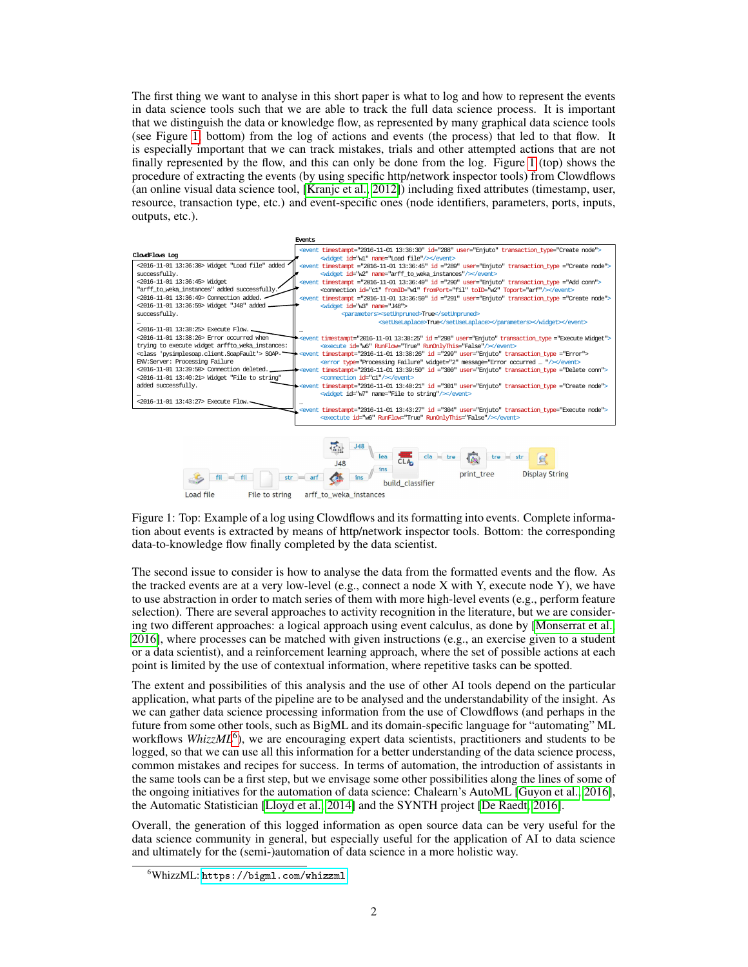The first thing we want to analyse in this short paper is what to log and how to represent the events in data science tools such that we are able to track the full data science process. It is important that we distinguish the data or knowledge flow, as represented by many graphical data science tools (see Figure [1,](#page-1-0) bottom) from the log of actions and events (the process) that led to that flow. It is especially important that we can track mistakes, trials and other attempted actions that are not finally represented by the flow, and this can only be done from the log. Figure [1](#page-1-0) (top) shows the procedure of extracting the events (by using specific http/network inspector tools) from Clowdflows (an online visual data science tool, [\[Kranjc et al., 2012\]](#page-2-7)) including fixed attributes (timestamp, user, resource, transaction type, etc.) and event-specific ones (node identifiers, parameters, ports, inputs, outputs, etc.).



<span id="page-1-0"></span>Figure 1: Top: Example of a log using Clowdflows and its formatting into events. Complete information about events is extracted by means of http/network inspector tools. Bottom: the corresponding data-to-knowledge flow finally completed by the data scientist.

The second issue to consider is how to analyse the data from the formatted events and the flow. As the tracked events are at a very low-level (e.g., connect a node  $X$  with  $Y$ , execute node  $Y$ ), we have to use abstraction in order to match series of them with more high-level events (e.g., perform feature selection). There are several approaches to activity recognition in the literature, but we are considering two different approaches: a logical approach using event calculus, as done by [\[Monserrat et al.,](#page-2-8) [2016\]](#page-2-8), where processes can be matched with given instructions (e.g., an exercise given to a student or a data scientist), and a reinforcement learning approach, where the set of possible actions at each point is limited by the use of contextual information, where repetitive tasks can be spotted.

The extent and possibilities of this analysis and the use of other AI tools depend on the particular application, what parts of the pipeline are to be analysed and the understandability of the insight. As we can gather data science processing information from the use of Clowdflows (and perhaps in the future from some other tools, such as BigML and its domain-specific language for "automating" ML workflows WhizzML<sup>[6](#page-1-1)</sup>), we are encouraging expert data scientists, practitioners and students to be logged, so that we can use all this information for a better understanding of the data science process, common mistakes and recipes for success. In terms of automation, the introduction of assistants in the same tools can be a first step, but we envisage some other possibilities along the lines of some of the ongoing initiatives for the automation of data science: Chalearn's AutoML [\[Guyon et al., 2016\]](#page-2-9), the Automatic Statistician [\[Lloyd et al., 2014\]](#page-2-10) and the SYNTH project [\[De Raedt, 2016\]](#page-2-11).

Overall, the generation of this logged information as open source data can be very useful for the data science community in general, but especially useful for the application of AI to data science and ultimately for the (semi-)automation of data science in a more holistic way.

<span id="page-1-1"></span><sup>6</sup>WhizzML: <https://bigml.com/whizzml>